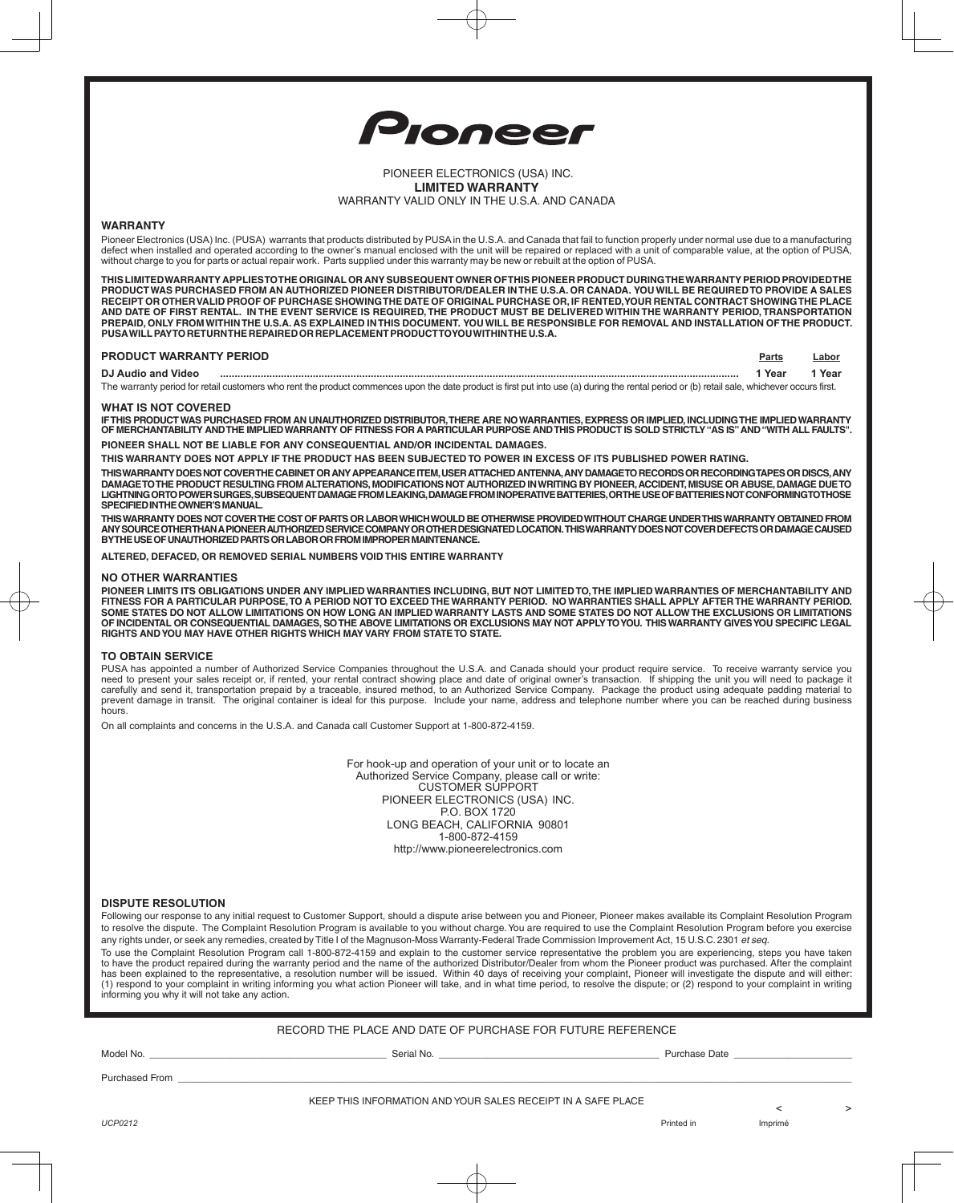

# PIONEER ELECTRONICS (USA) INC. **LIMITED WARRANTY** WARRANTY VALID ONLY IN THE U.S.A. AND CANADA

# **WARRANTY**

Pioneer Electronics (USA) Inc. (PUSA) warrants that products distributed by PUSA in the U.S.A. and Canada that fail to function properly under normal use due to a manufacturing defect when installed and operated according to the owner's manual enclosed with the unit will be repaired or replaced with a unit of comparable value, at the option of PUSA, without charge to you for parts or actual repair work. Parts supplied under this warranty may be new or rebuilt at the option of PUSA.

**THIS LIMITED WARRANTY APPLIES TO THE ORIGINAL OR ANY SUBSEQUENT OWNER OF THIS PIONEER PRODUCT DURING THE WARRANTY PERIOD PROVIDED THE PRODUCT WAS PURCHASED FROM AN AUTHORIZED PIONEER DISTRIBUTOR/DEALER IN THE U.S.A. OR CANADA. YOU WILL BE REQUIRED TO PROVIDE A SALES RECEIPT OR OTHER VALID PROOF OF PURCHASE SHOWING THE DATE OF ORIGINAL PURCHASE OR, IF RENTED, YOUR RENTAL CONTRACT SHOWING THE PLACE**  AND DATE OF FIRST RENTAL. IN THE EVENT SERVICE IS REQUIRED, THE PRODUCT MUST BE DELIVERED WITHIN THE WARRANTY PERIOD, TRANSPORTATION **prepaid , ONLY fromwithinthE U.S.A. as explained inthis document. Youwill be responsible for removal and installation ofthe product. PUSA willpay TO returntherepairedorreplacementproductto you withinthe U.S.A.**

| <b>PRODUCT WARRANTY PERIOD</b> | Parts | .abor |
|--------------------------------|-------|-------|
| DJ Audio and Video             | Year  | Year  |
| $\sim$                         |       |       |

The warranty period for retail customers who rent the product commences upon the date product is first put into use (a) during the rental period or (b) retail sale, whichever occurs first.

### **WHAT IS NOT COVERED**

IFTHIS PRODUCT WAS PURCHASED FROM AN UNAUTHORIZED DISTRIBUTOR, THERE ARE NO WARRANTIES, EXPRESS OR IMPLIED, INCLUDING THE IMPLIED WARRANTY<br>OF MERCHANTABILITY AND THE IMPLIED WARRANTY OF FITNESS FOR A PARTICULAR PURPOSE AND **PIONEER SHALL NOT BE LIABLE FOR ANY CONSEQUENTIAL AND/OR INCIDENTAL DAMAGES.**

**THIS WARRANTY DOES NOT APPLY IF THE PRODUCT HAS BEEN SUBJECTED TO POWER IN EXCESS OF ITS PUBLISHED POWER RATING.**

**THIS WARRANTY DOES NOT COVER THE CABINET OR ANY APPEARANCE ITEM, USER ATTACHED ANTENNA, ANY DAMAGE TO RECORDS OR RECORDING TAPES OR DISCS, ANY DAMAGE TO THE PRODUCT RESULTING FROM ALTERATIONS, MODIFICATIONS NOT AUTHORIZED IN WRITING BY PIONEER, ACCIDENT, MISUSE OR ABUSE, DAMAGE DUE TO LIGHTNING OR TO POWER SURGES, SUBSEQUENT DAMAGE FROM LEAKING, DAMAGE FROM INOPERATIVE BATTERIES, OR THE USE OF BATTERIES NOT CONFORMING TO THOSE SPECIFIED IN THE OWNER'S MANUAL.**

THIS WARRANTY DOES NOT COVER THE COST OF PARTS OR LABOR WHICH WOULD BE OTHERWISE PROVIDED WITHOUT CHARGE UNDERTHIS WARRANTY OBTAINED FROM<br>ANY SOURCE OTHERTHAN A PIONEER AUTHORIZED SERVICE COMPANY OR OTHER DESIGNATED LOCATI **BY THE USE OF UNAUTHORIZED PARTS OR LABOR OR FROM IMPROPER MAINTENANCE.** 

**ALTERED, DEFACED, OR REMOVED SERIAL NUMBERS VOID THIS ENTIRE WARRANTY**

#### **NO OTHER WARRANTIES**

**PIONEER LIMITS ITS OBLIGATIONS UNDER ANY IMPLIED WARRANTIES INCLUDING, BUT NOT LIMITED TO, THE IMPLIED WARRANTIES OF MERCHANTABILITY AND FITNESS FOR A PARTICULAR PURPOSE, TO A PERIOD NOT TO EXCEED THE WARRANTY PERIOD. NO WARRANTIES SHALL APPLY AFTER THE WARRANTY PERIOD. SOME STATES DO NOT ALLOW LIMITATIONS ON HOW LONG AN IMPLIED WARRANTY LASTS AND SOME STATES DO NOT ALLOW THE EXCLUSIONS OR LIMITATIONS OF INCIDENTAL OR CONSEQUENTIAL DAMAGES, SO THE ABOVE LIMITATIONS OR EXCLUSIONS MAY NOT APPLY TO YOU. THIS WARRANTY GIVES YOU SPECIFIC LEGAL RIGHTS AND YOU MAY HAVE OTHER RIGHTS WHICH MAY VARY FROM STATE TO STATE.** 

#### **TO OBTAIN SERVICE**

PUSA has appointed a number of Authorized Service Companies throughout the U.S.A. and Canada should your product require service. To receive warranty service you<br>need to present your sales receipt or, if rented, your renta prevent damage in transit. The original container is ideal for this purpose. Include your name, address and telephone number where you can be reached during business hours.

On all complaints and concerns in the U.S.A. and Canada call Customer Support at 1-800-872-4159.

For hook-up and operation of your unit or to locate an Authorized Service Company, please call or write: CUSTOMER SUPPORT PIONEER ELECTRONICS (USA) INC. P.O. BOX 1720 LONG BEACH, CALIFORNIA 90801 1-800-872-4159 http://www.pioneerelectronics.com

#### **Dispute Resolution**

Following our response to any initial request to Customer Support, should a dispute arise between you and Pioneer, Pioneer makes available its Complaint Resolution Program to resolve the dispute. The Complaint Resolution Program is available to you without charge. You are required to use the Complaint Resolution Program before you exercise any rights under, or seek any remedies, created by Title I of the Magnuson-Moss Warranty-Federal Trade Commission Improvement Act, 15 U.S.C. 2301 et seq.

To use the Complaint Resolution Program call 1-800-872-4159 and explain to the customer service representative the problem you are experiencing, steps you have taken to have the product repaired during the warranty period and the name of the authorized Distributor/Dealer from whom the Pioneer product was purchased. After the complaint<br>has been explained to the representative, a resolut informing you why it will not take any action.

### RECORD THE PLACE AND DATE OF PURCHASE FOR FUTURE REFERENCE

| Model No. |  |
|-----------|--|
|-----------|--|

Model No. \_\_\_\_\_\_\_\_\_\_\_\_\_\_\_\_\_\_\_\_\_\_\_\_\_\_\_\_\_\_\_\_\_\_\_\_\_\_\_\_\_\_\_\_ Serial No. \_\_\_\_\_\_\_\_\_\_\_\_\_\_\_\_\_\_\_\_\_\_\_\_\_\_\_\_\_\_\_\_\_\_\_\_\_\_\_\_\_ Purchase Date \_\_\_\_\_\_\_\_\_\_\_\_\_\_\_\_\_\_\_\_\_\_

Purchased From \_

KEEP THIS INFORMATION AND YOUR SALES RECEIPT IN A SAFE PLACE

*UCP0212* Printed in Imprimé